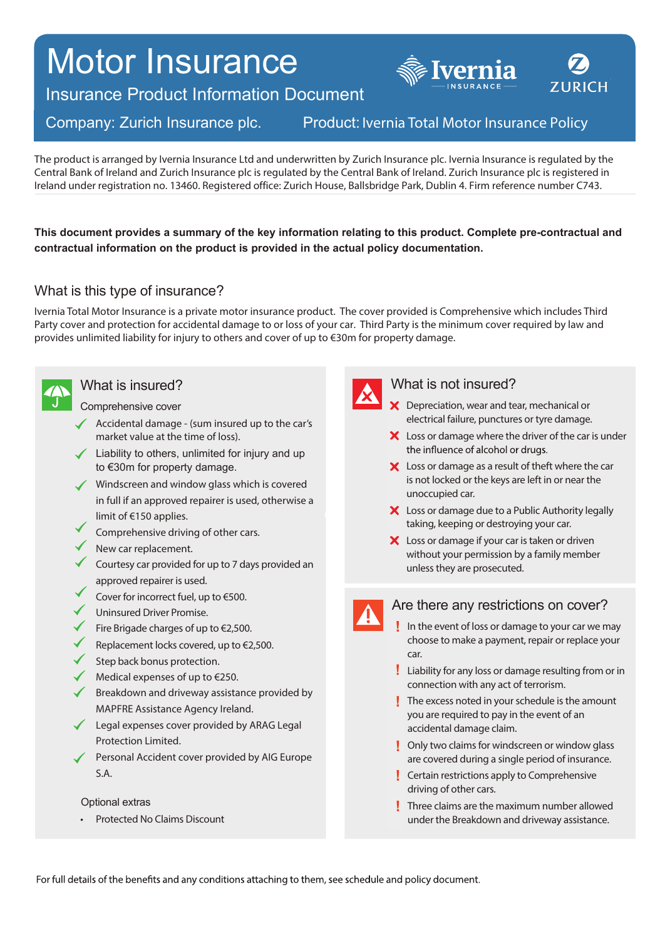# Motor Insurance



Insurance Product Information Document

# Company: Zurich Insurance plc.

# Product: Ivernia Total Motor Insurance Policy

The product is arranged by Ivernia Insurance Ltd and underwritten by Zurich Insurance plc. Ivernia Insurance is regulated by the Central Bank of Ireland and Zurich Insurance plc is regulated by the Central Bank of Ireland. Zurich Insurance plc is registered in Ireland under registration no. 13460. Registered office: Zurich House, Ballsbridge Park, Dublin 4. Firm reference number C743.

**This document provides a summary of the key information relating to this product. Complete pre-contractual and contractual information on the product is provided in the actual policy documentation.**

# What is this type of insurance?

Ivernia Total Motor Insurance is a private motor insurance product. The cover provided is Comprehensive which includes Third Party cover and protection for accidental damage to or loss of your car. Third Party is the minimum cover required by law and provides unlimited liability for injury to others and cover of up to €30m for property damage.



# What is insured?

Comprehensive cover

- $\triangleleft$  Accidental damage (sum insured up to the car's market value at the time of loss).
- $\angle$  Liability to others, unlimited for injury and up to €30m for property damage.
- Windscreen and window glass which is covered in full if an approved repairer is used, otherwise a limit of €150 applies.
- Comprehensive driving of other cars.
- New car replacement.
- Courtesy car provided for up to 7 days provided an approved repairer is used.
- Cover for incorrect fuel, up to €500.
- Uninsured Driver Promise.
- Fire Brigade charges of up to €2,500.
- Replacement locks covered, up to €2,500.
- Step back bonus protection.
- Medical expenses of up to €250.
- $\blacklozenge$  Breakdown and driveway assistance provided by MAPFRE Assistance Agency Ireland.
- ◆ Legal expenses cover provided by ARAG Legal Protection Limited.
- Personal Accident cover provided by AIG Europe S.A.

#### Optional extras

• Protected No Claims Discount



### What is not insured?

- X Depreciation, wear and tear, mechanical or electrical failure, punctures or tyre damage.
- X Loss or damage where the driver of the car is under the influence of alcohol or drugs.
- X Loss or damage as a result of theft where the car is not locked or the keys are left in or near the unoccupied car.
- X Loss or damage due to a Public Authority legally taking, keeping or destroying your car.
- X Loss or damage if your car is taken or driven without your permission by a family member unless they are prosecuted.

# Are there any restrictions on cover?

- In the event of loss or damage to your car we may choose to make a payment, repair or replace your car.
- Liability for any loss or damage resulting from or in connection with any act of terrorism.
- $\blacksquare$  The excess noted in your schedule is the amount you are required to pay in the event of an accidental damage claim.
- **Diamage 1 Diams on the Startup** Christophy two claims for windscreen or window glass are covered during a single period of insurance.
- **Certain restrictions apply to Comprehensive** driving of other cars.
- **Three claims are the maximum number allowed** under the Breakdown and driveway assistance.

For full details of the benefits and any conditions attaching to them, see schedule and policy document.